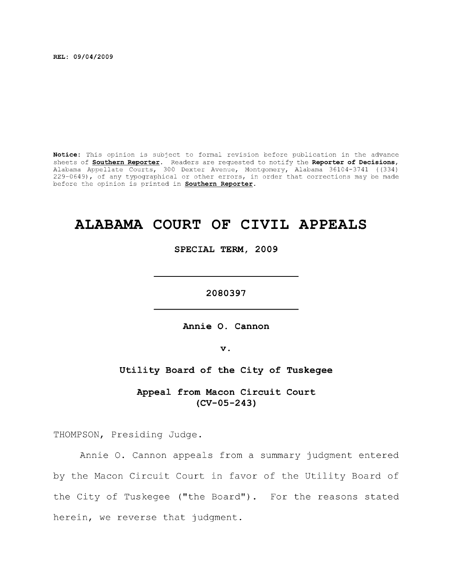**REL: 09/04/2009** 

**Notice:** This opinion is subject to formal revision before publication in the advance sheets of **Southern Reporter.** Readers are requested to notify the **Reporter of Decisions,**  Alabama Appellate Courts, 300 Dexter Avenue, Montgomery, Alabama 36104-3741 ((334) 229-0649), of any typographical or other errors, in order that corrections may be made before the opinion is printed in **Southern Reporter.** 

# **ALABAMA COURT OF CIVIL APPEALS**

**SPECIAL TERM, 2009** 

**2080397** 

**Annie O. Cannon** 

**V .** 

**Utility Board of the City of Tuskegee** 

**Appeal from Macon Circuit Court (CV-05-243)** 

THOMPSON, Presiding Judge.

Annie 0. Cannon appeals from a summary judgment entered by the Macon Circuit Court in favor of the Utility Board of the City of Tuskegee ("the Board") . For the reasons stated herein, we reverse that judgment.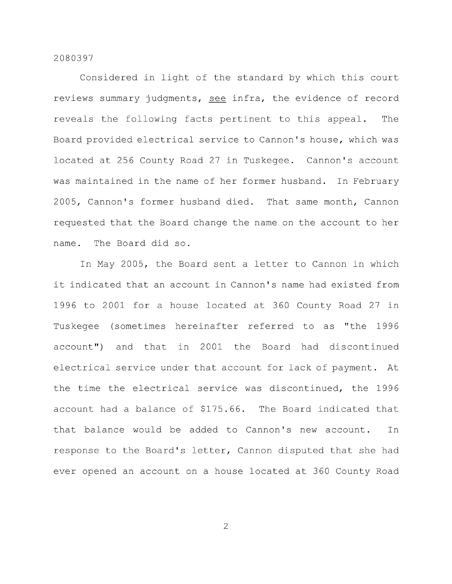Considered in light of the standard by which this court reviews summary judgments, see infra, the evidence of record reveals the following facts pertinent to this appeal. The Board provided electrical service to Cannon's house, which was located at 256 County Road 27 in Tuskegee. Cannon's account was maintained in the name of her former husband. In February 2005, Cannon's former husband died. That same month. Cannon requested that the Board change the name on the account to her name. The Board did so.

In May 2005, the Board sent a letter to Cannon in which it indicated that an account in Cannon's name had existed from 1996 to 2001 for a house located at 360 County Road 27 in Tuskegee (sometimes hereinafter referred to as "the 1996 account") and that in 2001 the Board had discontinued electrical service under that account for lack of payment. At the time the electrical service was discontinued, the 1996 account had a balance of \$175.66. The Board indicated that that balance would be added to Cannon's new account. In response to the Board's letter, Cannon disputed that she had ever opened an account on a house located at 360 County Road

 $\overline{2}$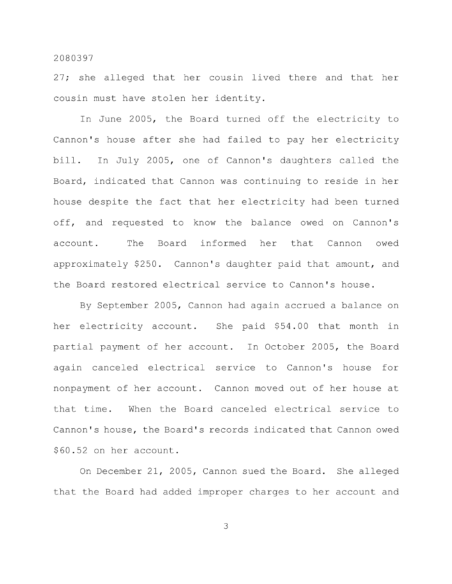27; she alleged that her cousin lived there and that her cousin must have stolen her identity.

In June 2005, the Board turned off the electricity to Cannon's house after she had failed to pay her electricity bill. In July 2005, one of Cannon's daughters called the Board, indicated that Cannon was continuing to reside in her house despite the fact that her electricity had been turned off, and requested to know the balance owed on Cannon's account. The Board informed her that Cannon owed approximately \$250. Cannon's daughter paid that amount, and the Board restored electrical service to Cannon's house.

By September 2005, Cannon had again accrued a balance on her electricity account. She paid \$54.00 that month in partial payment of her account. In October 2005, the Board again canceled electrical service to Cannon's house for nonpayment of her account. Cannon moved out of her house at that time. When the Board canceled electrical service to Cannon's house, the Board's records indicated that Cannon owed \$60.52 on her account.

On December 21, 2005, Cannon sued the Board. She alleged that the Board had added improper charges to her account and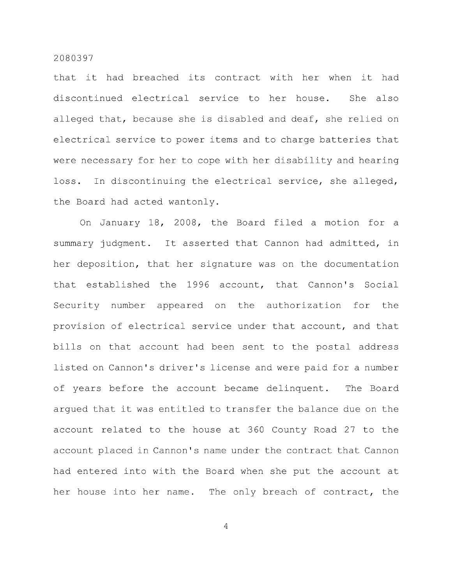that it had breached its contract with her when it had discontinued electrical service to her house. She also alleged that, because she is disabled and deaf, she relied on electrical service to power items and to charge batteries that were necessary for her to cope with her disability and hearing loss. In discontinuing the electrical service, she alleged, the Board had acted wantonly.

On January 18, 2008, the Board filed a motion for a summary judgment. It asserted that Cannon had admitted, in her deposition, that her signature was on the documentation that established the 1996 account, that Cannon's Social Security number appeared on the authorization for the provision of electrical service under that account, and that bills on that account had been sent to the postal address listed on Cannon's driver's license and were paid for a number of years before the account became delinquent. The Board argued that it was entitled to transfer the balance due on the account related to the house at 360 County Road 27 to the account placed in Cannon's name under the contract that Cannon had entered into with the Board when she put the account at her house into her name. The only breach of contract, the

 $\overline{4}$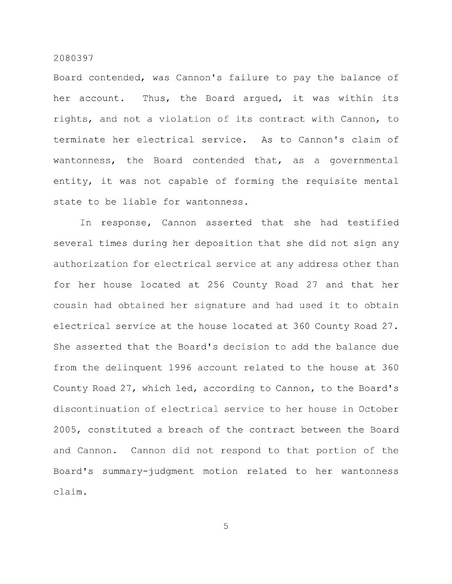Board contended, was Cannon's failure to pay the balance of her account. Thus, the Board argued, it was within its rights, and not a violation of its contract with Cannon, to terminate her electrical service. As to Cannon's claim of wantonness, the Board contended that, as a governmental entity, it was not capable of forming the requisite mental state to be liable for wantonness.

In response, Cannon asserted that she had testified several times during her deposition that she did not sign any authorization for electrical service at any address other than for her house located at 256 County Road 27 and that her cousin had obtained her signature and had used it to obtain electrical service at the house located at 360 County Road 27. She asserted that the Board's decision to add the balance due from the delinquent 1996 account related to the house at 360 County Road 27, which led, according to Cannon, to the Board's discontinuation of electrical service to her house in October 2005, constituted a breach of the contract between the Board and Cannon. Cannon did not respond to that portion of the Board's summary-judgment motion related to her wantonness claim.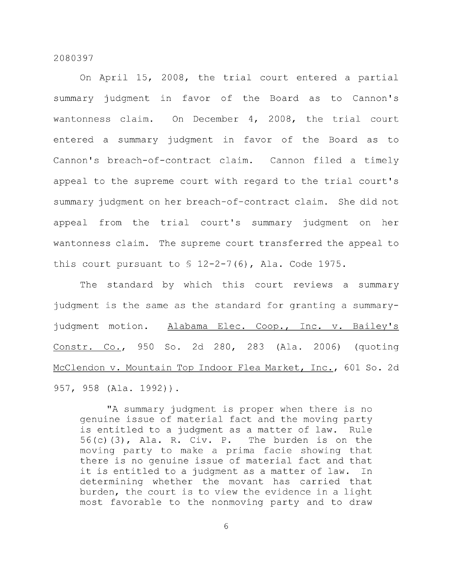On April 15, 2008, the trial court entered a partial summary judgment in favor of the Board as to Cannon's wantonness claim. On December 4, 2008, the trial court entered a summary judgment in favor of the Board as to Cannon's breach-of-contract claim. Cannon filed a timely appeal to the supreme court with regard to the trial court's summary judgment on her breach-of-contract claim. She did not appeal from the trial court's summary judgment on her wantonness claim. The supreme court transferred the appeal to this court pursuant to  $\frac{12-2-7(6)}{12-2}$ , Ala. Code 1975.

The standard by which this court reviews a summary judgment is the same as the standard for granting a summaryjudgment motion. Alabama Elec. Coop., Inc. v. Bailey's Constr. Co., 950 So. 2d 280, 283 (Ala. 2006) (quoting McClendon v. Mountain Top Indoor Flea Market, Inc., 601 So. 2d 957, 958 (Ala. 1992)).

"A summary judgment is proper when there is no genuine issue of material fact and the moving party is entitled to a judgment as a matter of law. Rule 56(c) (3), Ala. R. Civ. P. The burden is on the moving party to make a prima facie showing that there is no genuine issue of material fact and that it is entitled to a judgment as a matter of law. In determining whether the movant has carried that burden, the court is to view the evidence in a light most favorable to the nonmoving party and to draw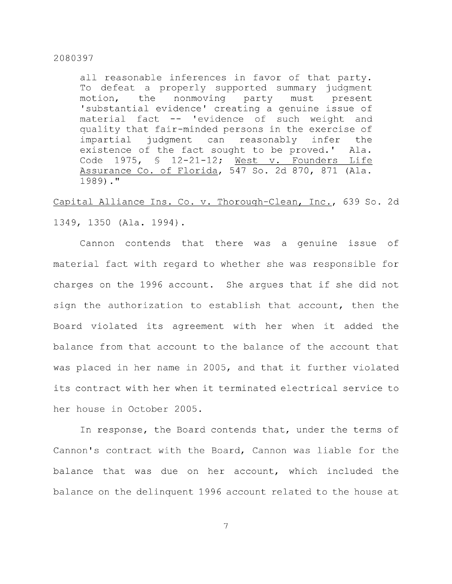all reasonable inferences in favor of that party. To defeat a properly supported summary judgment motion, the nonmoving party must present 'substantial evidence' creating a genuine issue of material fact -- 'evidence of such weight and quality that fair-minded persons in the exercise of impartial judgment can reasonably infer the existence of the fact sought to be proved.' Ala. Code 1975, § 12-21-12; West v. Founders Life Assurance Co. of Florida, 547 So. 2d 870, 871 (Ala. 1989)."

Capital Alliance Ins. Co. v. Thorough-Clean, Inc., 639 So. 2d 1349, 1350 (Ala. 1994) .

Cannon contends that there was a genuine issue of material fact with regard to whether she was responsible for charges on the 1996 account. She argues that if she did not sign the authorization to establish that account, then the Board violated its agreement with her when it added the balance from that account to the balance of the account that was placed in her name in 2005, and that it further violated its contract with her when it terminated electrical service to her house in October 2005.

In response, the Board contends that, under the terms of Cannon's contract with the Board, Cannon was liable for the balance that was due on her account, which included the balance on the delinquent 1996 account related to the house at

 $\overline{7}$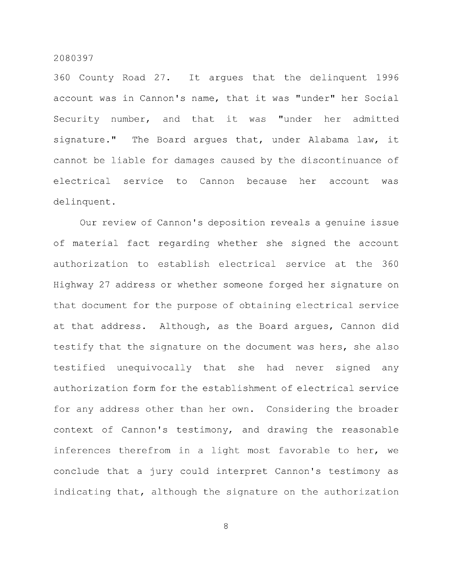360 County Road 27. It argues that the delinquent 1996 account was in Cannon's name, that it was "under" her Social Security number, and that it was "under her admitted signature." The Board argues that, under Alabama law, it cannot be liable for damages caused by the discontinuance of electrical service to Cannon because her account was delinquent.

Our review of Cannon's deposition reveals a genuine issue of material fact regarding whether she signed the account authorization to establish electrical service at the 360 Highway 27 address or whether someone forged her signature on that document for the purpose of obtaining electrical service at that address. Although, as the Board argues, Cannon did testify that the signature on the document was hers, she also testified unequivocally that she had never signed any authorization form for the establishment of electrical service for any address other than her own. Considering the broader context of Cannon's testimony, and drawing the reasonable inferences therefrom in a light most favorable to her, we conclude that a jury could interpret Cannon's testimony as indicating that, although the signature on the authorization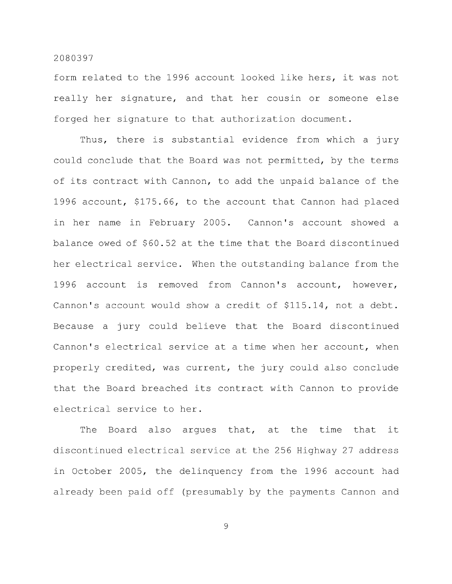form related to the 1996 account looked like hers, it was not really her signature, and that her cousin or someone else forged her signature to that authorization document.

Thus, there is substantial evidence from which a jury could conclude that the Board was not permitted, by the terms of its contract with Cannon, to add the unpaid balance of the 1996 account, \$175.66, to the account that Cannon had placed in her name in February 2005. Cannon's account showed a balance owed of \$60.52 at the time that the Board discontinued her electrical service. When the outstanding balance from the 1996 account is removed from Cannon's account, however. Cannon's account would show a credit of \$115.14, not a debt. Because a jury could believe that the Board discontinued Cannon's electrical service at a time when her account, when properly credited, was current, the jury could also conclude that the Board breached its contract with Cannon to provide electrical service to her.

The Board also argues that, at the time that it discontinued electrical service at the 256 Highway 27 address in October 2005, the delinquency from the 1996 account had already been paid off (presumably by the payments Cannon and